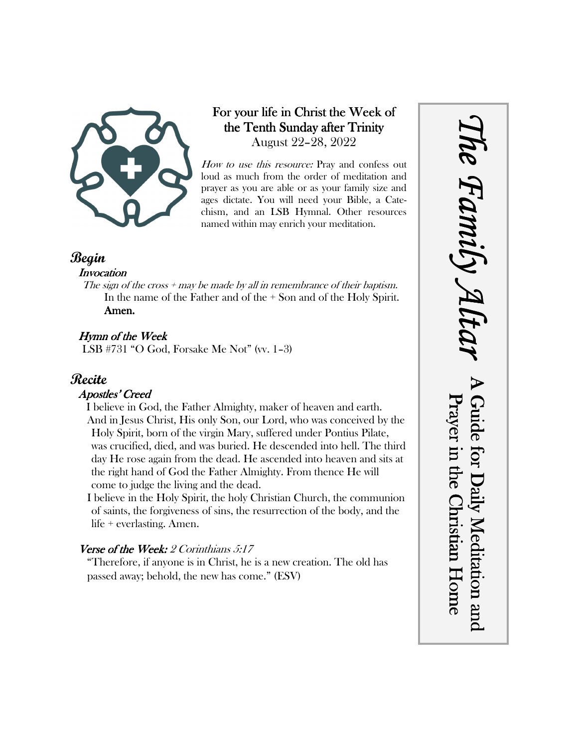

# For your life in Christ the Week of the Tenth Sunday after Trinity August 22–28, 2022

How to use this resource: Pray and confess out loud as much from the order of meditation and prayer as you are able or as your family size and ages dictate. You will need your Bible, a Catechism, and an LSB Hymnal. Other resources named within may enrich your meditation.

## **Begin**

#### **Invocation**

The sign of the cross  $+$  may be made by all in remembrance of their baptism. In the name of the Father and of the + Son and of the Holy Spirit. Amen.

## Hymn of the Week

LSB #731 "O God, Forsake Me Not" (vv. 1–3)

# **Recite**

### Apostles' Creed

I believe in God, the Father Almighty, maker of heaven and earth. And in Jesus Christ, His only Son, our Lord, who was conceived by the Holy Spirit, born of the virgin Mary, suffered under Pontius Pilate, was crucified, died, and was buried. He descended into hell. The third day He rose again from the dead. He ascended into heaven and sits at the right hand of God the Father Almighty. From thence He will come to judge the living and the dead.

I believe in the Holy Spirit, the holy Christian Church, the communion of saints, the forgiveness of sins, the resurrection of the body, and the life + everlasting. Amen.

### Verse of the Week:  $2$  Corinthians  $5:17$

"Therefore, if anyone is in Christ, he is a new creation. The old has passed away; behold, the new has come." (ESV)

*The Family Altar* he Family A. A Guide for Daily Meditation and Prayer in the Christian Home Guide for Daily Meditation and Prayer in the Christian Home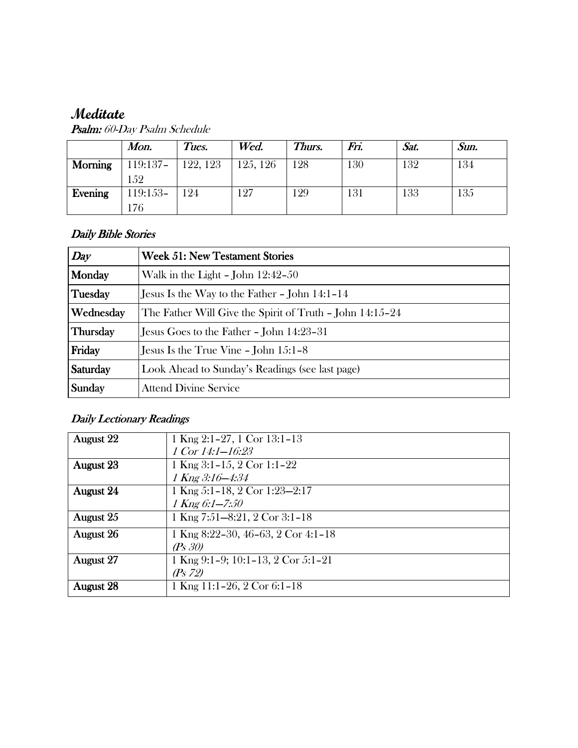# **Meditate**

|                | Mon.       | Tues.    | Wed.     | Thurs. | Fri. | Sat. | Sun. |
|----------------|------------|----------|----------|--------|------|------|------|
| <b>Morning</b> | $119:137-$ | 122, 123 | 125, 126 | 28     | 130  | 132  | 134  |
|                | 152        |          |          |        |      |      |      |
| Evening        | 119:153-   | 124      | 127      | 29     | 131  | 133  | 135  |
|                | 176        |          |          |        |      |      |      |

Psalm: 60-Day Psalm Schedule

### Daily Bible Stories

| Day       | <b>Week 51: New Testament Stories</b>                    |  |  |  |
|-----------|----------------------------------------------------------|--|--|--|
| Monday    | Walk in the Light - John $12:42-50$                      |  |  |  |
| Tuesday   | Jesus Is the Way to the Father $-$ John 14:1–14          |  |  |  |
| Wednesday | The Father Will Give the Spirit of Truth – John 14:15–24 |  |  |  |
| Thursday  | Jesus Goes to the Father – John 14:23–31                 |  |  |  |
| Friday    | Jesus Is the True Vine $-$ John $15:1-8$                 |  |  |  |
| Saturday  | Look Ahead to Sunday's Readings (see last page)          |  |  |  |
| Sunday    | <b>Attend Divine Service</b>                             |  |  |  |

# Daily Lectionary Readings

| <b>August 22</b> | 1 Kng $2:1-27$ , 1 Cor $13:1-13$   |
|------------------|------------------------------------|
|                  | 1 Cor $14:1 - 16:23$               |
| <b>August 23</b> | 1 Kng 3:1-15, 2 Cor 1:1-22         |
|                  | $1$ Kng $3:16 - 4:34$              |
| August 24        | 1 Kng 5:1-18, 2 Cor 1:23-2:17      |
|                  | $1$ Kng 6:1-7:50                   |
| August 25        | 1 Kng 7:51-8:21, 2 Cor 3:1-18      |
| August 26        | 1 Kng 8:22-30, 46-63, 2 Cor 4:1-18 |
|                  | (P <sub>S</sub> 30)                |
| <b>August 27</b> | 1 Kng 9:1-9; 10:1-13, 2 Cor 5:1-21 |
|                  | (Ps 72)                            |
| <b>August 28</b> | 1 Kng 11:1-26, 2 Cor 6:1-18        |
|                  |                                    |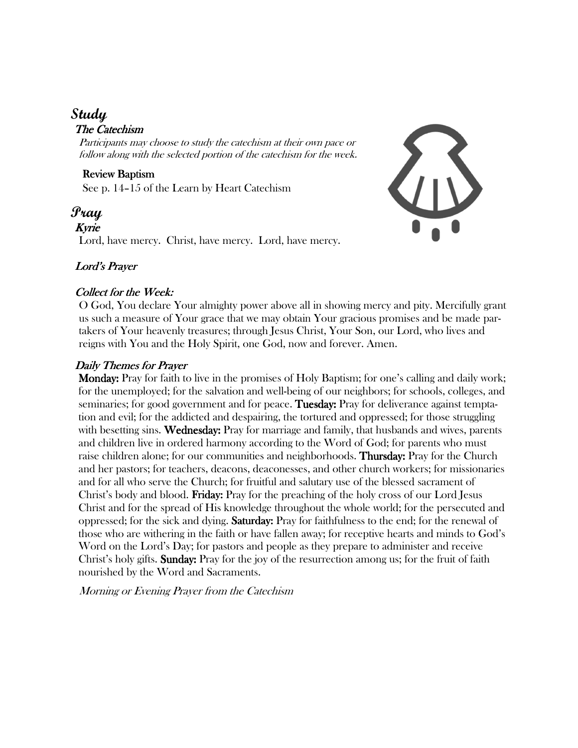# **Study**

### The Catechism

Participants may choose to study the catechism at their own pace or follow along with the selected portion of the catechism for the week.

Review Baptism See p. 14–15 of the Learn by Heart Catechism

**Pray** Kyrie Lord, have mercy. Christ, have mercy. Lord, have mercy.



#### Lord's Prayer

#### Collect for the Week:

O God, You declare Your almighty power above all in showing mercy and pity. Mercifully grant us such a measure of Your grace that we may obtain Your gracious promises and be made partakers of Your heavenly treasures; through Jesus Christ, Your Son, our Lord, who lives and reigns with You and the Holy Spirit, one God, now and forever. Amen.

#### Daily Themes for Prayer

**Monday:** Pray for faith to live in the promises of Holy Baptism; for one's calling and daily work; for the unemployed; for the salvation and well-being of our neighbors; for schools, colleges, and seminaries; for good government and for peace. Tuesday: Pray for deliverance against temptation and evil; for the addicted and despairing, the tortured and oppressed; for those struggling with besetting sins. Wednesday: Pray for marriage and family, that husbands and wives, parents and children live in ordered harmony according to the Word of God; for parents who must raise children alone; for our communities and neighborhoods. Thursday: Pray for the Church and her pastors; for teachers, deacons, deaconesses, and other church workers; for missionaries and for all who serve the Church; for fruitful and salutary use of the blessed sacrament of Christ's body and blood. Friday: Pray for the preaching of the holy cross of our Lord Jesus Christ and for the spread of His knowledge throughout the whole world; for the persecuted and oppressed; for the sick and dying. **Saturday:** Pray for faithfulness to the end; for the renewal of those who are withering in the faith or have fallen away; for receptive hearts and minds to God's Word on the Lord's Day; for pastors and people as they prepare to administer and receive Christ's holy gifts. **Sunday:** Pray for the joy of the resurrection among us; for the fruit of faith nourished by the Word and Sacraments.

Morning or Evening Prayer from the Catechism